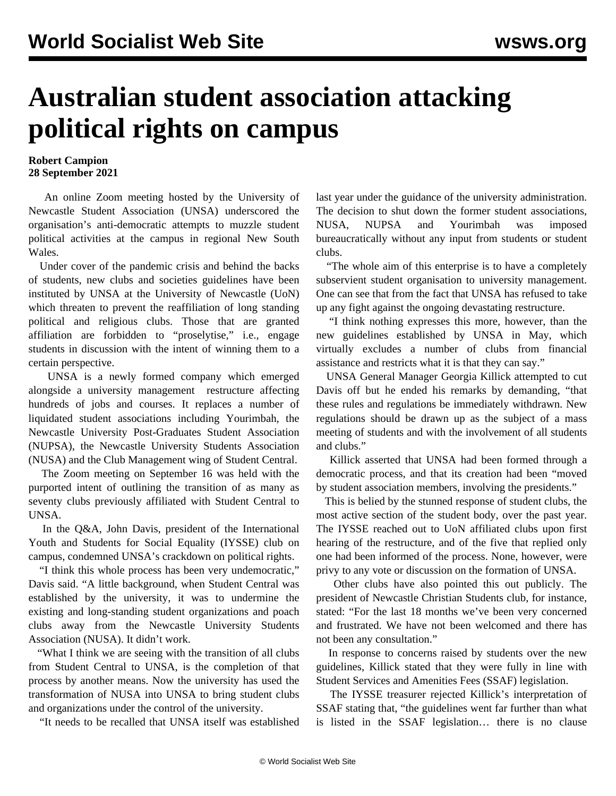## **Australian student association attacking political rights on campus**

## **Robert Campion 28 September 2021**

 An online Zoom meeting hosted by the University of Newcastle Student Association (UNSA) underscored the organisation's anti-democratic attempts to muzzle student political activities at the campus in regional New South Wales.

 Under cover of the pandemic crisis and behind the backs of students, [new clubs and societies guidelines](/en/articles/2021/07/21/unsa-j21.html) have been instituted by UNSA at the University of Newcastle (UoN) which threaten to prevent the reaffiliation of long standing political and religious clubs. Those that are granted affiliation are forbidden to "proselytise," i.e., engage students in discussion with the intent of winning them to a certain perspective.

 UNSA is a newly formed company which emerged alongside a university management [restructure](/en/articles/2021/08/04/newc-a04.html) affecting hundreds of jobs and courses. It replaces a number of liquidated student associations including Yourimbah, the Newcastle University Post-Graduates Student Association (NUPSA), the Newcastle University Students Association (NUSA) and the Club Management wing of Student Central.

 The Zoom meeting on September 16 was held with the purported intent of outlining the transition of as many as seventy clubs previously affiliated with Student Central to UNSA.

 In the Q&A, John Davis, president of the International Youth and Students for Social Equality (IYSSE) club on campus, condemned UNSA's crackdown on political rights.

 "I think this whole process has been very undemocratic," Davis said. "A little background, when Student Central was established by the university, it was to undermine the existing and long-standing student organizations and poach clubs away from the Newcastle University Students Association (NUSA). It didn't work.

 "What I think we are seeing with the transition of all clubs from Student Central to UNSA, is the completion of that process by another means. Now the university has used the transformation of NUSA into UNSA to bring student clubs and organizations under the control of the university.

"It needs to be recalled that UNSA itself was established

last year under the guidance of the university administration. The decision to shut down the former student associations, NUSA, NUPSA and Yourimbah was imposed bureaucratically without any input from students or student clubs.

 "The whole aim of this enterprise is to have a completely subservient student organisation to university management. One can see that from the fact that UNSA has refused to take up any fight against the ongoing devastating restructure.

 "I think nothing expresses this more, however, than the new guidelines established by UNSA in May, which virtually excludes a number of clubs from financial assistance and restricts what it is that they can say."

 UNSA General Manager Georgia Killick attempted to cut Davis off but he ended his remarks by demanding, "that these rules and regulations be immediately withdrawn. New regulations should be drawn up as the subject of a mass meeting of students and with the involvement of all students and clubs."

 Killick asserted that UNSA had been formed through a democratic process, and that its creation had been "moved by student association members, involving the presidents."

 This is belied by the stunned response of student clubs, the most active section of the student body, over the past year. The IYSSE reached out to UoN affiliated clubs upon first hearing of the restructure, and of the five that replied only one had been informed of the process. None, however, were privy to any vote or discussion on the formation of UNSA.

 Other clubs have also pointed this out publicly. The president of Newcastle Christian Students club, for instance, stated: "For the last 18 months we've been very concerned and frustrated. We have not been welcomed and there has not been any consultation."

 In response to concerns raised by students over the new guidelines, Killick stated that they were fully in line with Student Services and Amenities Fees (SSAF) legislation.

 The IYSSE treasurer rejected Killick's interpretation of SSAF stating that, "the guidelines went far further than what is listed in the SSAF legislation… there is no clause